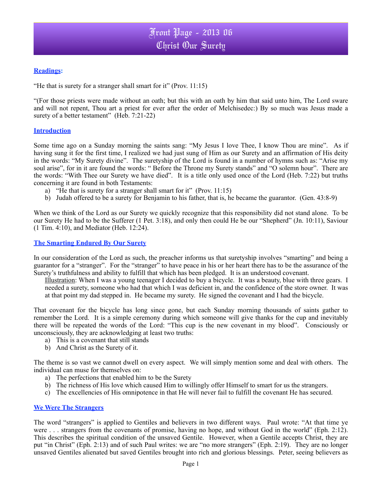## **Readings:**

"He that is surety for a stranger shall smart for it" (Prov. 11:15)

"(For those priests were made without an oath; but this with an oath by him that said unto him, The Lord sware and will not repent, Thou art a priest for ever after the order of Melchisedec:) By so much was Jesus made a surety of a better testament" (Heb. 7:21-22)

#### **Introduction**

Some time ago on a Sunday morning the saints sang: "My Jesus I love Thee, I know Thou are mine". As if having sung it for the first time, I realized we had just sung of Him as our Surety and an affirmation of His deity in the words: "My Surety divine". The suretyship of the Lord is found in a number of hymns such as: "Arise my soul arise", for in it are found the words: " Before the Throne my Surety stands" and "O solemn hour". There are the words: "With Thee our Surety we have died". It is a title only used once of the Lord (Heb. 7:22) but truths concerning it are found in both Testaments:

- a) "He that is surety for a stranger shall smart for it" (Prov. 11:15)
- b) Judah offered to be a surety for Benjamin to his father, that is, he became the guarantor. (Gen. 43:8-9)

When we think of the Lord as our Surety we quickly recognize that this responsibility did not stand alone. To be our Surety He had to be the Sufferer (1 Pet. 3:18), and only then could He be our "Shepherd" (Jn. 10:11), Saviour (1 Tim. 4:10), and Mediator (Heb. 12:24).

#### **The Smarting Endured By Our Surety**

In our consideration of the Lord as such, the preacher informs us that suretyship involves "smarting" and being a guarantor for a "stranger". For the "stranger" to have peace in his or her heart there has to be the assurance of the Surety's truthfulness and ability to fulfill that which has been pledged. It is an understood covenant.

Illustration: When I was a young teenager I decided to buy a bicycle. It was a beauty, blue with three gears. I needed a surety, someone who had that which I was deficient in, and the confidence of the store owner. It was at that point my dad stepped in. He became my surety. He signed the covenant and I had the bicycle.

That covenant for the bicycle has long since gone, but each Sunday morning thousands of saints gather to remember the Lord. It is a simple ceremony during which someone will give thanks for the cup and inevitably there will be repeated the words of the Lord: "This cup is the new covenant in my blood". Consciously or unconsciously, they are acknowledging at least two truths:

- a) This is a covenant that still stands
- b) And Christ as the Surety of it.

The theme is so vast we cannot dwell on every aspect. We will simply mention some and deal with others. The individual can muse for themselves on:

- a) The perfections that enabled him to be the Surety
- b) The richness of His love which caused Him to willingly offer Himself to smart for us the strangers.
- c) The excellencies of His omnipotence in that He will never fail to fulfill the covenant He has secured.

#### **We Were The Strangers**

The word "strangers" is applied to Gentiles and believers in two different ways. Paul wrote: "At that time ye were . . . strangers from the covenants of promise, having no hope, and without God in the world" (Eph. 2:12). This describes the spiritual condition of the unsaved Gentile. However, when a Gentile accepts Christ, they are put "in Christ" (Eph. 2:13) and of such Paul writes: we are "no more strangers" (Eph. 2:19). They are no longer unsaved Gentiles alienated but saved Gentiles brought into rich and glorious blessings. Peter, seeing believers as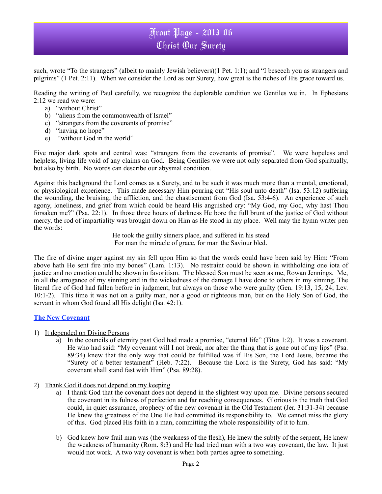## Front Page - 2013 06 Christ Our Surety

such, wrote "To the strangers" (albeit to mainly Jewish believers)(1 Pet. 1:1); and "I beseech you as strangers and pilgrims" (1 Pet. 2:11). When we consider the Lord as our Surety, how great is the riches of His grace toward us.

Reading the writing of Paul carefully, we recognize the deplorable condition we Gentiles we in. In Ephesians 2:12 we read we were:

- a) "without Christ"
- b) "aliens from the commonwealth of Israel"
- c) "strangers from the covenants of promise"
- d) "having no hope"
- e) "without God in the world"

Five major dark spots and central was: "strangers from the covenants of promise". We were hopeless and helpless, living life void of any claims on God. Being Gentiles we were not only separated from God spiritually, but also by birth. No words can describe our abysmal condition.

Against this background the Lord comes as a Surety, and to be such it was much more than a mental, emotional, or physiological experience. This made necessary Him pouring out "His soul unto death" (Isa. 53:12) suffering the wounding, the bruising, the affliction, and the chastisement from God (Isa. 53:4-6). An experience of such agony, loneliness, and grief from which could be heard His anguished cry: "My God, my God, why hast Thou forsaken me?" (Psa. 22:1). In those three hours of darkness He bore the full brunt of the justice of God without mercy, the rod of impartiality was brought down on Him as He stood in my place. Well may the hymn writer pen the words:

> He took the guilty sinners place, and suffered in his stead For man the miracle of grace, for man the Saviour bled.

The fire of divine anger against my sin fell upon Him so that the words could have been said by Him: "From above hath He sent fire into my bones" (Lam. 1:13). No restraint could be shown in withholding one iota of justice and no emotion could be shown in favoritism. The blessed Son must be seen as me, Rowan Jennings. Me, in all the arrogance of my sinning and in the wickedness of the damage I have done to others in my sinning. The literal fire of God had fallen before in judgment, but always on those who were guilty (Gen. 19:13, 15, 24; Lev. 10:1-2). This time it was not on a guilty man, nor a good or righteous man, but on the Holy Son of God, the servant in whom God found all His delight (Isa. 42:1).

### **The New Covenant**

- 1) It depended on Divine Persons
	- a) In the councils of eternity past God had made a promise, "eternal life" (Titus 1:2). It was a covenant. He who had said: "My covenant will I not break, nor alter the thing that is gone out of my lips" (Psa. 89:34) knew that the only way that could be fulfilled was if His Son, the Lord Jesus, became the "Surety of a better testament" (Heb. 7:22). Because the Lord is the Surety, God has said: "My covenant shall stand fast with Him" (Psa. 89:28).
- 2) Thank God it does not depend on my keeping
	- a) I thank God that the covenant does not depend in the slightest way upon me. Divine persons secured the covenant in its fulness of perfection and far reaching consequences. Glorious is the truth that God could, in quiet assurance, prophecy of the new covenant in the Old Testament (Jer. 31:31-34) because He knew the greatness of the One He had committed its responsibility to. We cannot miss the glory of this. God placed His faith in a man, committing the whole responsibility of it to him.
	- b) God knew how frail man was (the weakness of the flesh), He knew the subtly of the serpent, He knew the weakness of humanity (Rom. 8:3) and He had tried man with a two way covenant, the law. It just would not work. A two way covenant is when both parties agree to something.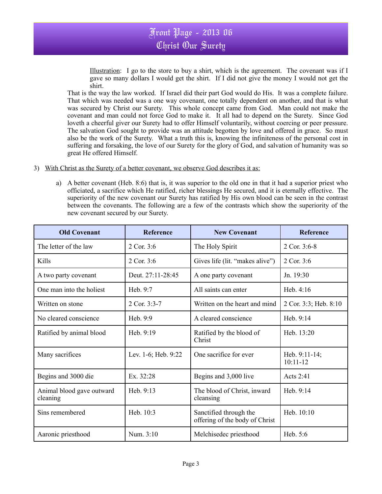

Illustration: I go to the store to buy a shirt, which is the agreement. The covenant was if I gave so many dollars I would get the shirt. If I did not give the money I would not get the shirt.

That is the way the law worked. If Israel did their part God would do His. It was a complete failure. That which was needed was a one way covenant, one totally dependent on another, and that is what was secured by Christ our Surety. This whole concept came from God. Man could not make the covenant and man could not force God to make it. It all had to depend on the Surety. Since God loveth a cheerful giver our Surety had to offer Himself voluntarily, without coercing or peer pressure. The salvation God sought to provide was an attitude begotten by love and offered in grace. So must also be the work of the Surety. What a truth this is, knowing the infiniteness of the personal cost in suffering and forsaking, the love of our Surety for the glory of God, and salvation of humanity was so great He offered Himself.

- 3) With Christ as the Surety of a better covenant, we observe God describes it as:
	- a) A better covenant (Heb. 8:6) that is, it was superior to the old one in that it had a superior priest who officiated, a sacrifice which He ratified, richer blessings He secured, and it is eternally effective. The superiority of the new covenant our Surety has ratified by His own blood can be seen in the contrast between the covenants. The following are a few of the contrasts which show the superiority of the new covenant secured by our Surety.

| <b>Old Covenant</b>                   | <b>Reference</b>    | <b>New Covenant</b>                                      | <b>Reference</b>                 |
|---------------------------------------|---------------------|----------------------------------------------------------|----------------------------------|
| The letter of the law                 | 2 Cor. 3:6          | The Holy Spirit                                          | 2 Cor. 3:6-8                     |
| Kills                                 | 2 Cor. 3:6          | Gives life (lit. "makes alive")                          | 2 Cor. 3:6                       |
| A two party covenant                  | Deut. 27:11-28:45   | A one party covenant                                     | Jn. $19:30$                      |
| One man into the holiest              | Heb. 9:7            | All saints can enter                                     | Heb. $4:16$                      |
| Written on stone                      | 2 Cor. 3:3-7        | Written on the heart and mind                            | 2 Cor. 3:3; Heb. 8:10            |
| No cleared conscience                 | Heb. 9:9            | A cleared conscience                                     | Heb. 9:14                        |
| Ratified by animal blood              | Heb. 9:19           | Ratified by the blood of<br>Christ                       | Heb. 13:20                       |
| Many sacrifices                       | Lev. 1-6; Heb. 9:22 | One sacrifice for ever                                   | Heb. $9:11-14$ ;<br>$10:11 - 12$ |
| Begins and 3000 die                   | Ex. 32:28           | Begins and 3,000 live                                    | Acts 2:41                        |
| Animal blood gave outward<br>cleaning | Heb. $9:13$         | The blood of Christ, inward<br>cleansing                 | Heb. $9:14$                      |
| Sins remembered                       | Heb. 10:3           | Sanctified through the<br>offering of the body of Christ | Heb. 10:10                       |
| Aaronic priesthood                    | Num. 3:10           | Melchisedec priesthood                                   | Heb. 5:6                         |